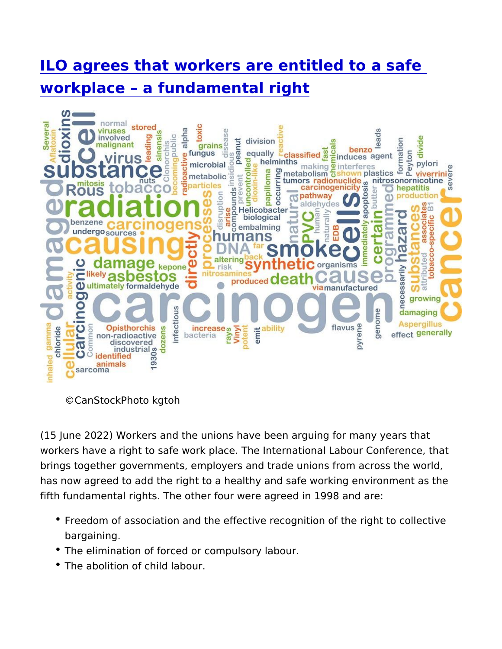[ILO agrees that workers are entitled](https://www.epsu.org/article/ilo-agrees-workers-are-entitled-safe-workplace-fundamental-right) to a sa [workplace a fundamenta](https://www.epsu.org/article/ilo-agrees-workers-are-entitled-safe-workplace-fundamental-right)l right

©CanStockPhoto kgtoh

(15 June 2022) Workers and the unions have been arguing for man workers have a right to safe work place. The International Labour brings together governments, employers and trade unions from ac has now agreed to add the right to a healthy and safe working env fifth fundamental rights. The other four were agreed in 1998 and

- Freedom of association and the effective recognition of the rig bargaining.
- The elimination of forced or compulsory labour.
- The abolition of child labour.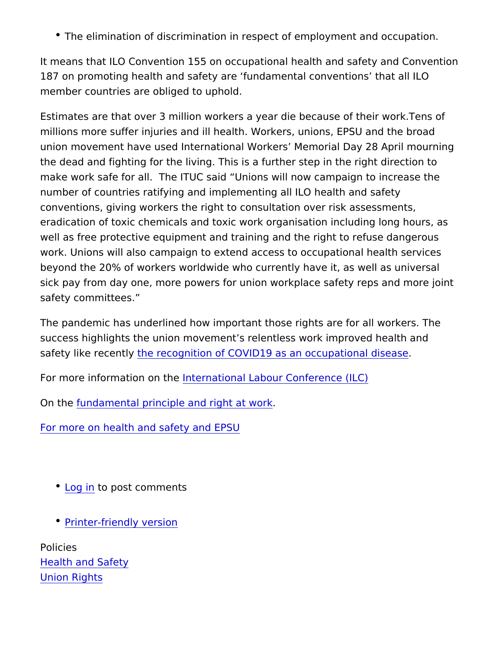\* The elimination of discrimination in respect of employment an

It means that ILO Convention 155 on occupational health and safe 187 on promoting health and safety are fundamental conventions member countries are obliged to uphold.

Estimates are that over 3 million workers a year die because of the millions more suffer injuries and ill health. Workers, unions, EPS union movement have used International Workers Memorial Day 2 the dead and fighting for the living. This is a further step in the make work safe for all. The ITUC said Unions will now campaign number of countries ratifying and implementing all ILO health and conventions, giving workers the right to consultation over risk as eradication of toxic chemicals and toxic work organisation includi well as free protective equipment and training and the right to re work. Unions will also campaign to extend access to occupational beyond the 20% of workers worldwide who currently have it, as we sick pay from day one, more powers for union workplace safety re safety committees.

The pandemic has underlined how important those rights are for a success highlights the union movement s relentless work improved safety like re[c](https://www.epsu.org/article/big-step-forward-health-and-care-workers-europe)temet recognition of COVID19 as an occupational dise

For more information not net rithe ational Labour Conference (ILC)

On the undamental principle and right at work

For more on health and safety and EPSU

- [Log](https://www.epsu.org/user/login?destination=/article/ilo-agrees-workers-are-entitled-safe-workplace-fundamental-right#comment-form) ino post comments
- [Printer-friendly](https://www.epsu.org/entityprint/pdf/node/14198) version

Policies [Health and S](https://www.epsu.org/policies/health-and-safety-0)afety [Union Ri](https://www.epsu.org/policies/union-rights-0)ghts